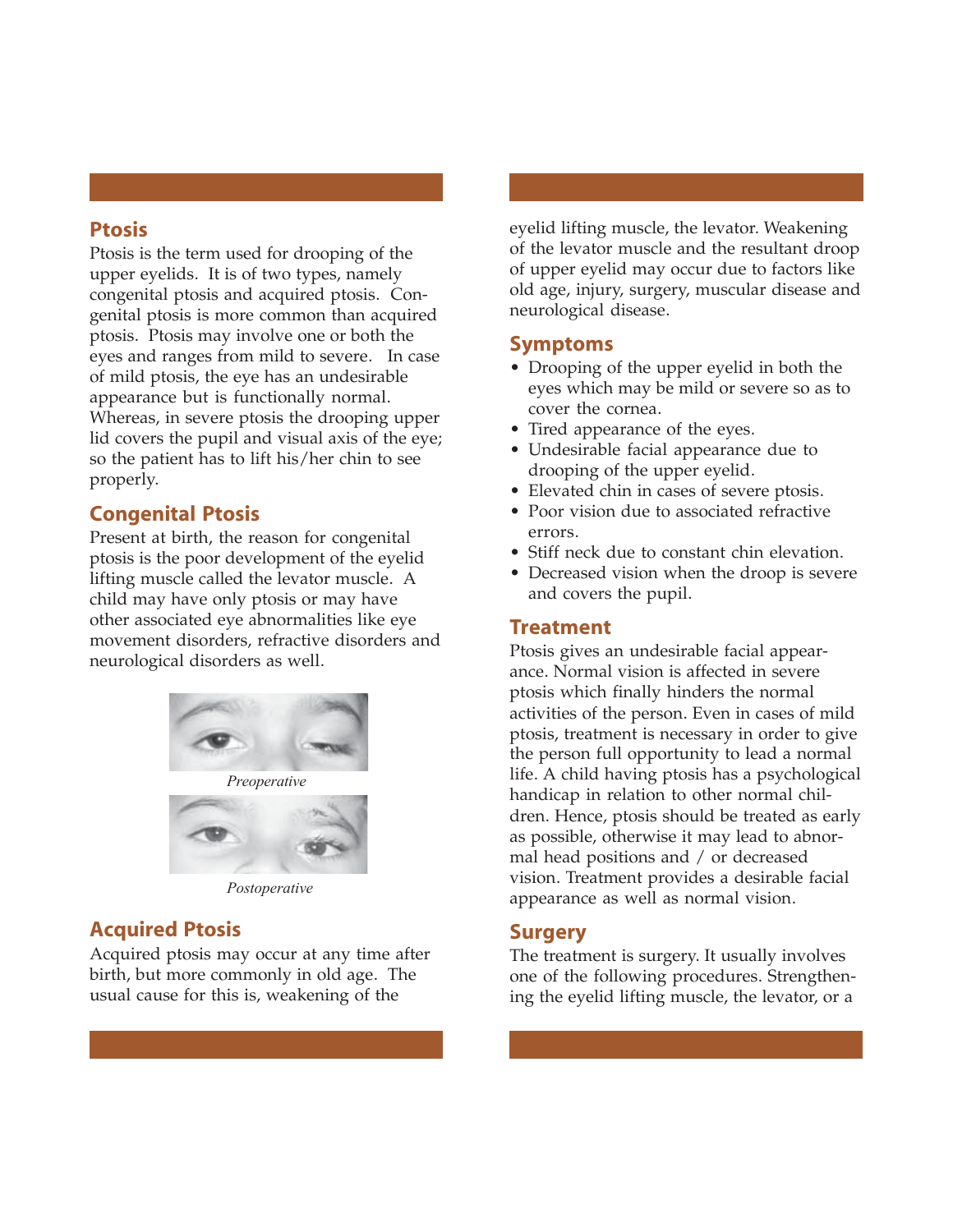#### **Ptosis**

Ptosis is the term used for drooping of the upper eyelids. It is of two types, namely congenital ptosis and acquired ptosis. Congenital ptosis is more common than acquired ptosis. Ptosis may involve one or both the eyes and ranges from mild to severe. In case of mild ptosis, the eye has an undesirable appearance but is functionally normal. Whereas, in severe ptosis the drooping upper lid covers the pupil and visual axis of the eye; so the patient has to lift his/her chin to see properly.

### **Congenital Ptosis**

Present at birth, the reason for congenital ptosis is the poor development of the eyelid lifting muscle called the levator muscle. A child may have only ptosis or may have other associated eye abnormalities like eye movement disorders, refractive disorders and neurological disorders as well.





*Postoperative*

## **Acquired Ptosis**

Acquired ptosis may occur at any time after birth, but more commonly in old age. The usual cause for this is, weakening of the

eyelid lifting muscle, the levator. Weakening of the levator muscle and the resultant droop of upper eyelid may occur due to factors like old age, injury, surgery, muscular disease and neurological disease.

#### **Symptoms**

- Drooping of the upper eyelid in both the eyes which may be mild or severe so as to cover the cornea.
- Tired appearance of the eyes.
- Undesirable facial appearance due to drooping of the upper eyelid.
- Elevated chin in cases of severe ptosis.
- Poor vision due to associated refractive errors.
- Stiff neck due to constant chin elevation.
- Decreased vision when the droop is severe and covers the pupil.

#### **Treatment**

Ptosis gives an undesirable facial appearance. Normal vision is affected in severe ptosis which finally hinders the normal activities of the person. Even in cases of mild ptosis, treatment is necessary in order to give the person full opportunity to lead a normal life. A child having ptosis has a psychological handicap in relation to other normal children. Hence, ptosis should be treated as early as possible, otherwise it may lead to abnormal head positions and / or decreased vision. Treatment provides a desirable facial appearance as well as normal vision.

#### **Surgery**

The treatment is surgery. It usually involves one of the following procedures. Strengthening the eyelid lifting muscle, the levator, or a